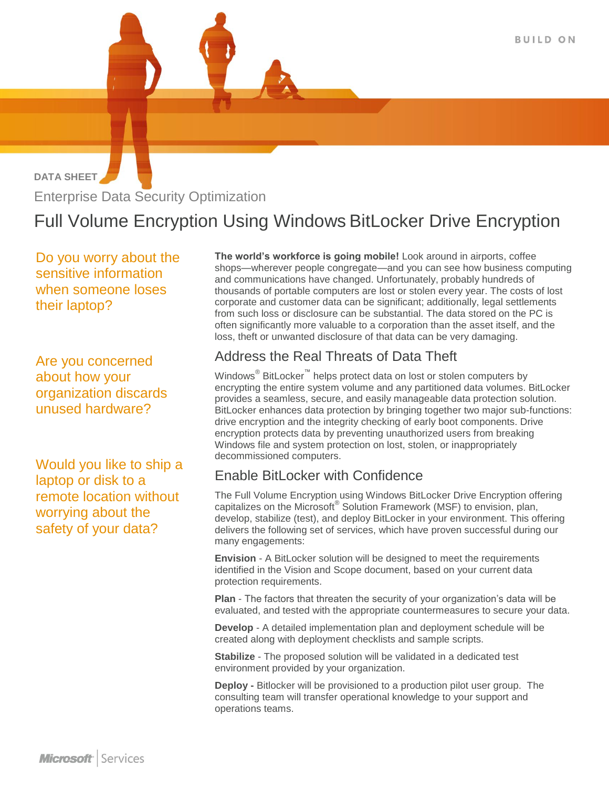**DATA SHEET** Enterprise Data Security Optimization

# Full Volume Encryption Using Windows BitLocker Drive Encryption

 Do you worry about the sensitive information when someone loses their laptop?

Are you concerned about how your organization discards unused hardware?

Would you like to ship a laptop or disk to a remote location without worrying about the safety of your data?

**The world's workforce is going mobile!** Look around in airports, coffee shops—wherever people congregate—and you can see how business computing and communications have changed. Unfortunately, probably hundreds of thousands of portable computers are lost or stolen every year. The costs of lost corporate and customer data can be significant; additionally, legal settlements from such loss or disclosure can be substantial. The data stored on the PC is often significantly more valuable to a corporation than the asset itself, and the loss, theft or unwanted disclosure of that data can be very damaging.

## Address the Real Threats of Data Theft

Windows® BitLocker™ helps protect data on lost or stolen computers by encrypting the entire system volume and any partitioned data volumes. BitLocker provides a seamless, secure, and easily manageable data protection solution. BitLocker enhances data protection by bringing together two major sub-functions: drive encryption and the integrity checking of early boot components. Drive encryption protects data by preventing unauthorized users from breaking Windows file and system protection on lost, stolen, or inappropriately decommissioned computers.

### Enable BitLocker with Confidence

The Full Volume Encryption using Windows BitLocker Drive Encryption offering capitalizes on the Microsoft<sup>®</sup> Solution Framework (MSF) to envision, plan, develop, stabilize (test), and deploy BitLocker in your environment. This offering delivers the following set of services, which have proven successful during our many engagements:

**Envision** - A BitLocker solution will be designed to meet the requirements identified in the Vision and Scope document, based on your current data protection requirements.

**Plan** - The factors that threaten the security of your organization's data will be evaluated, and tested with the appropriate countermeasures to secure your data.

**Develop** - A detailed implementation plan and deployment schedule will be created along with deployment checklists and sample scripts.

**Stabilize** - The proposed solution will be validated in a dedicated test environment provided by your organization.

**Deploy -** Bitlocker will be provisioned to a production pilot user group. The consulting team will transfer operational knowledge to your support and operations teams.